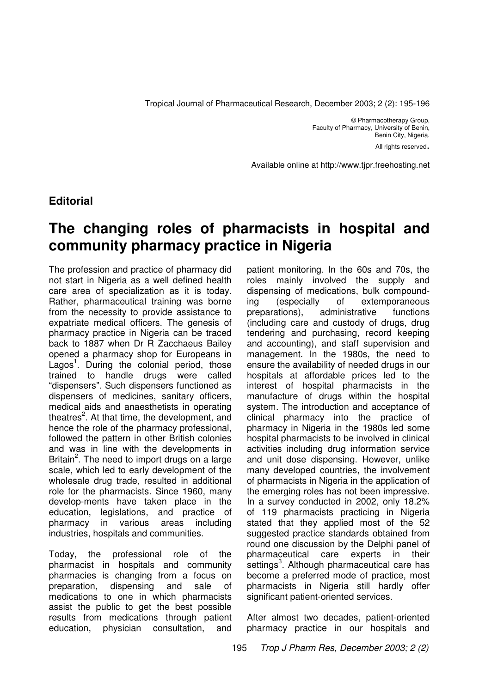Tropical Journal of Pharmaceutical Research, December 2003; 2 (2): 195-196

© Pharmacotherapy Group, Faculty of Pharmacy, University of Benin, Benin City, Nigeria. All rights reserved.

Available online at http://www.tjpr.freehosting.net

## **Editorial**

# **The changing roles of pharmacists in hospital and community pharmacy practice in Nigeria**

The profession and practice of pharmacy did not start in Nigeria as a well defined health care area of specialization as it is today. Rather, pharmaceutical training was borne from the necessity to provide assistance to expatriate medical officers. The genesis of pharmacy practice in Nigeria can be traced back to 1887 when Dr R Zacchaeus Bailey opened a pharmacy shop for Europeans in Lagos<sup>1</sup>. During the colonial period, those trained to handle drugs were called "dispensers". Such dispensers functioned as dispensers of medicines, sanitary officers, medical aids and anaesthetists in operating theatres<sup>2</sup>. At that time, the development, and hence the role of the pharmacy professional, followed the pattern in other British colonies and was in line with the developments in Britain<sup>2</sup>. The need to import drugs on a large scale, which led to early development of the wholesale drug trade, resulted in additional role for the pharmacists. Since 1960, many develop-ments have taken place in the education, legislations, and practice of pharmacy in various areas including industries, hospitals and communities.

Today, the professional role of the pharmacist in hospitals and community pharmacies is changing from a focus on preparation, dispensing and sale of medications to one in which pharmacists assist the public to get the best possible results from medications through patient education, physician consultation, and patient monitoring. In the 60s and 70s, the roles mainly involved the supply and dispensing of medications, bulk compounding (especially of extemporaneous preparations), administrative functions (including care and custody of drugs, drug tendering and purchasing, record keeping and accounting), and staff supervision and management. In the 1980s, the need to ensure the availability of needed drugs in our hospitals at affordable prices led to the interest of hospital pharmacists in the manufacture of drugs within the hospital system. The introduction and acceptance of clinical pharmacy into the practice of pharmacy in Nigeria in the 1980s led some hospital pharmacists to be involved in clinical activities including drug information service and unit dose dispensing. However, unlike many developed countries, the involvement of pharmacists in Nigeria in the application of the emerging roles has not been impressive. In a survey conducted in 2002, only 18.2% of 119 pharmacists practicing in Nigeria stated that they applied most of the 52 suggested practice standards obtained from round one discussion by the Delphi panel of pharmaceutical care experts in their settings<sup>3</sup>. Although pharmaceutical care has become a preferred mode of practice, most pharmacists in Nigeria still hardly offer significant patient-oriented services.

After almost two decades, patient-oriented pharmacy practice in our hospitals and